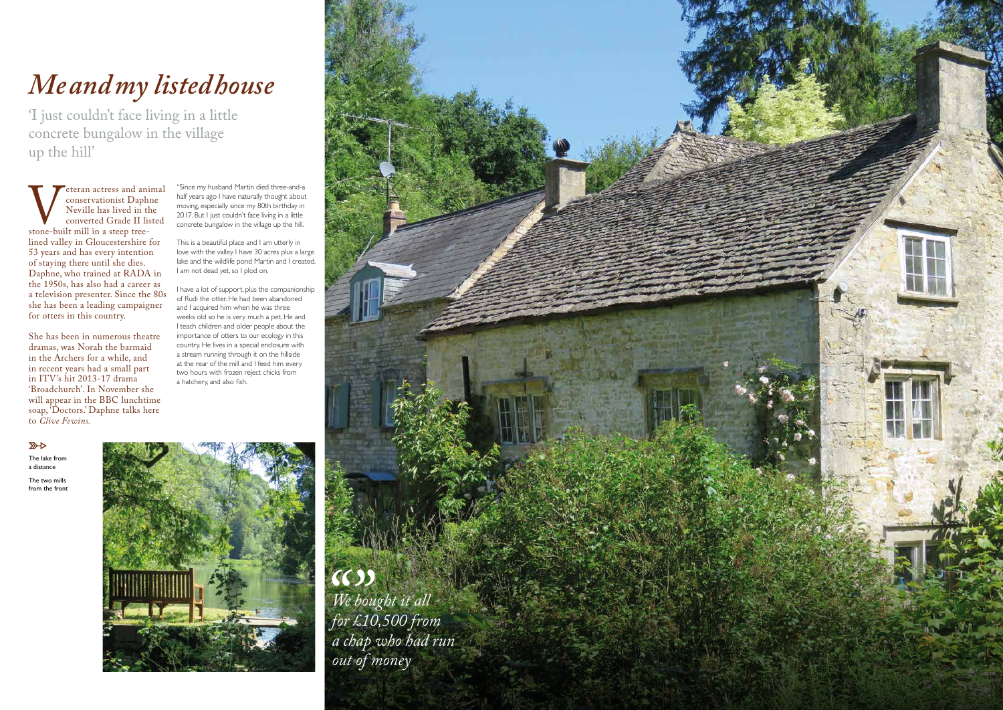The lake from a distance

The two mills from the front



# *Me and my listed house*

'I just couldn't face living in a little concrete bungalow in the village up the hill'

Veteran actress and animal<br>
conservationist Daphne<br>
Neville has lived in the<br>
converted Grade II listed<br>
stone-built mill in a steep tree-<br>
lined valley in Gloucestershire for conservationist Daphne Neville has lived in the converted Grade II listed stone-built mill in a steep treelined valley in Gloucestershire for 53 years and has every intention of staying there until she dies. Daphne, who trained at RADA in the 1950s, has also had a career as a television presenter. Since the 80s she has been a leading campaigner for otters in this country.

This is a beautiful place and I am utterly in love with the valley. I have 30 acres plus a large lake and the wildlife pond Martin and I created. I am not dead yet, so I plod on.

She has been in numerous theatre dramas, was Norah the barmaid in the Archers for a while, and in recent years had a small part in ITV's hit 2013-17 drama 'Broadchurch'. In November she will appear in the BBC lunchtime soap, 'Doctors.' Daphne talks here to *Clive Fewins.*

"Since my husband Martin died three-and-a half years ago I have naturally thought about moving, especially since my 80th birthday in 2017. But I just couldn't face living in a little concrete bungalow in the village up the hill.

I have a lot of support, plus the companionship of Rudi the otter. He had been abandoned and I acquired him when he was three weeks old so he is very much a pet. He and I teach children and older people about the importance of otters to our ecology in this country. He lives in a special enclosure with a stream running through it on the hillside at the rear of the mill and I feed him every two hours with frozen reject chicks from a hatchery, and also fish.

 $\overline{\mathbb{R}}$ 

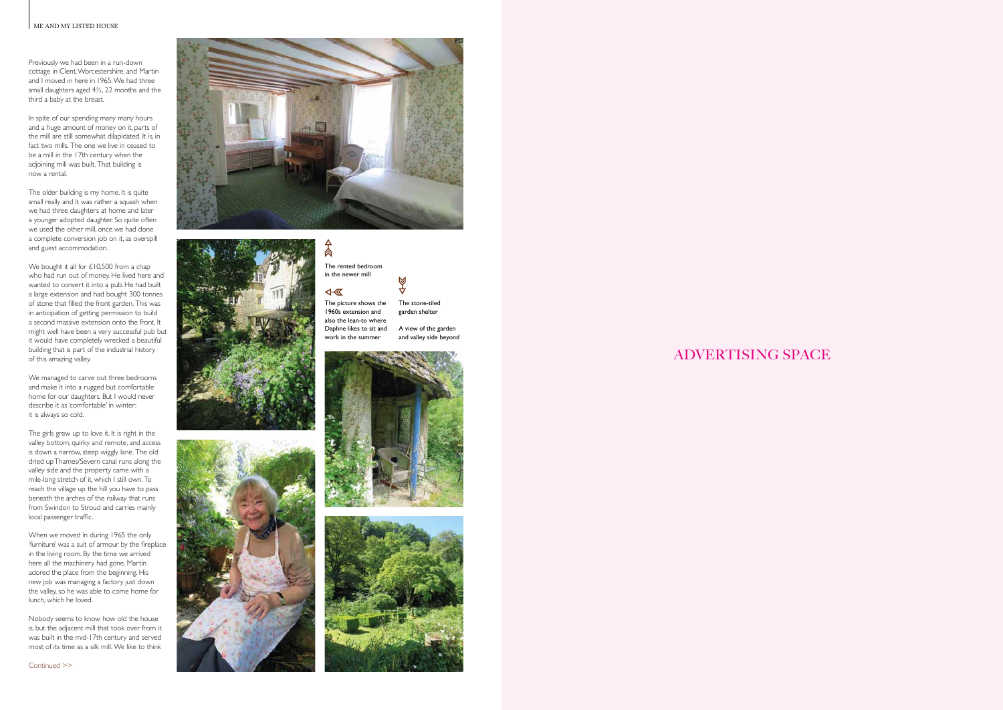### ME AND MY LISTED HOUSE

# ADVERTISING SPACE





</del>

4- 区





## The rented bedroom in the newer mill

The picture shows the 1960s extension and also the lean-to where Daphne likes to sit and work in the summer





Previously we had been in a run-down cottage in Clent, Worcestershire, and Martin and I moved in here in 1965. We had three small daughters aged  $4\frac{1}{2}$ , 22 months and the third a baby at the breast.

In spite of our spending many many hours and a huge amount of money on it, parts of the mill are still somewhat dilapidated. It is, in fact two mills. The one we live in ceased to be a mill in the 17th century when the adjoining mill was built. That building is now a rental.

We bought it all for £10,500 from a chap who had run out of money. He lived here and wanted to convert it into a pub. He had built a large extension and had bought 300 tonnes of stone that filled the front garden. This was in anticipation of getting permission to build a second massive extension onto the front. It might well have been a very successful pub but it would have completely wrecked a beautiful building that is part of the industrial history of this amazing valley.

The older building is my home. It is quite small really and it was rather a squash when we had three daughters at home and later a younger adopted daughter. So quite often we used the other mill, once we had done a complete conversion job on it, as overspill and guest accommodation.

## $\bigotimes$ The stone-tiled garden shelter

We managed to carve out three bedrooms and make it into a rugged but comfortable home for our daughters. But I would never describe it as 'comfortable' in winter: it is always so cold.

The girls grew up to love it. It is right in the valley bottom, quirky and remote, and access is down a narrow, steep wiggly lane. The old dried up Thames/Severn canal runs along the valley side and the property came with a mile-long stretch of it, which I still own. To reach the village up the hill you have to pass beneath the arches of the railway that runs from Swindon to Stroud and carries mainly local passenger traffic.

When we moved in during 1965 the only 'furniture' was a suit of armour by the fireplace in the living room. By the time we arrived here all the machinery had gone. Martin adored the place from the beginning. His new job was managing a factory just down the valley, so he was able to come home for lunch, which he loved.

Nobody seems to know how old the house is, but the adjacent mill that took over from it was built in the mid-17th century and served most of its time as a silk mill. We like to think

A view of the garden and valley side beyond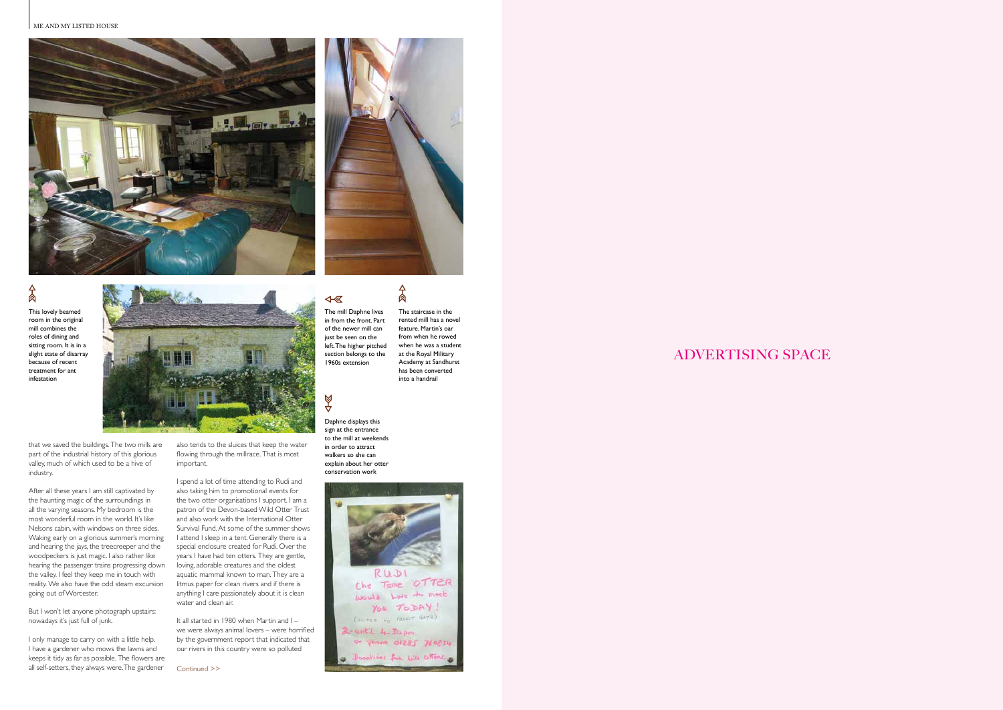#### ME AND MY LISTED HOUSE **A HYMN TO THE ARTS & CRAFTS MOVEMENT**





## $A$

ADVERTISING SPACE

that we saved the buildings. The two mills are part of the industrial history of this glorious valley, much of which used to be a hive of industry.

I only manage to carry on with a little help. I have a gardener who mows the lawns and keeps it tidy as far as possible. The flowers are all self-setters, they always were. The gardener Continued >>

After all these years I am still captivated by the haunting magic of the surroundings in all the varying seasons. My bedroom is the most wonderful room in the world. It's like Nelsons cabin, with windows on three sides. Waking early on a glorious summer's morning and hearing the jays, the treecreeper and the woodpeckers is just magic. I also rather like hearing the passenger trains progressing down the valley. I feel they keep me in touch with reality. We also have the odd steam excursion going out of Worcester.

But I won't let anyone photograph upstairs: nowadays it's just full of junk.

also tends to the sluices that keep the water flowing through the millrace. That is most important.

I spend a lot of time attending to Rudi and also taking him to promotional events for the two otter organisations I support. I am a patron of the Devon-based Wild Otter Trust and also work with the International Otter Survival Fund. At some of the summer shows I attend I sleep in a tent. Generally there is a special enclosure created for Rudi. Over the years I have had ten otters. They are gentle, loving, adorable creatures and the oldest aquatic mammal known to man. They are a litmus paper for clean rivers and if there is anything I care passionately about it is clean water and clean air.

It all started in 1980 when Martin and I – we were always animal lovers – were horrified by the government report that indicated that our rivers in this country were so polluted

This lovely beamed room in the original mill combines the roles of dining and sitting room. It is in a slight state of disarray because of recent treatment for ant infestation



The mill Daphne lives in from the front. Part of the newer mill can just be seen on the left. The higher pitched section belongs to the 1960s extension

 $\overline{\text{A}}$ 

Ø



The staircase in the rented mill has a novel feature. Martin's oar from when he rowed when he was a student at the Royal Military Academy at Sandhurst has been converted into a handrail

 $\frac{1}{2}$ 

Daphne displays this

sign at the entrance to the mill at weekends in order to attract walkers so she can explain about her otter conservation work